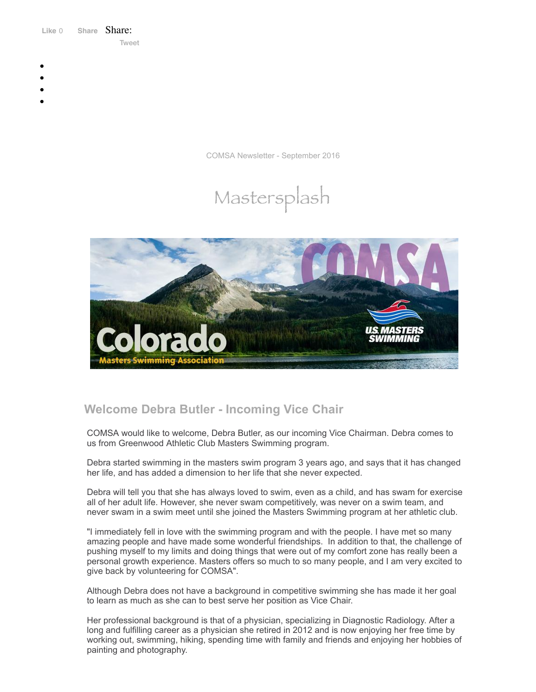Like 0 **[Share](https://www.facebook.com/sharer/sharer.php?u=https%3A%2F%2Fmyemail.constantcontact.com%2FCOMSA-Newsletter---September-2016.html%3Fsoid%3D1108936408185%26aid%3D1n6x-l-lau4&display=popup&ref=plugin&src=like&kid_directed_site=0&app_id=120295828008556)** Share: [Tweet](https://twitter.com/intent/tweet?original_referer=https%3A%2F%2Fmyemail.constantcontact.com%2FCOMSA-Newsletter---September-2016.html%3Fsoid%3D1108936408185%26aid%3D1n6x-l-lau4&ref_src=twsrc%5Etfw&text=COMSA%20Newsletter%20-%20September%202016&tw_p=tweetbutton&url=https%3A%2F%2Fmyemail.constantcontact.com%2FCOMSA-Newsletter---September-2016.html%3Fsoid%3D1108936408185%26aid%3D1n6x-l-lau4)

- 
- 
- 
- 
- 

COMSA Newsletter - September 2016

# Mastersplash



# **Welcome Debra Butler - Incoming Vice Chair**

COMSA would like to welcome, Debra Butler, as our incoming Vice Chairman. Debra comes to us from Greenwood Athletic Club Masters Swimming program.

Debra started swimming in the masters swim program 3 years ago, and says that it has changed her life, and has added a dimension to her life that she never expected.

Debra will tell you that she has always loved to swim, even as a child, and has swam for exercise all of her adult life. However, she never swam competitively, was never on a swim team, and never swam in a swim meet until she joined the Masters Swimming program at her athletic club.

"I immediately fell in love with the swimming program and with the people. I have met so many amazing people and have made some wonderful friendships. In addition to that, the challenge of pushing myself to my limits and doing things that were out of my comfort zone has really been a personal growth experience. Masters offers so much to so many people, and I am very excited to give back by volunteering for COMSA".

Although Debra does not have a background in competitive swimming she has made it her goal to learn as much as she can to best serve her position as Vice Chair.

Her professional background is that of a physician, specializing in Diagnostic Radiology. After a long and fulfilling career as a physician she retired in 2012 and is now enjoying her free time by working out, swimming, hiking, spending time with family and friends and enjoying her hobbies of painting and photography.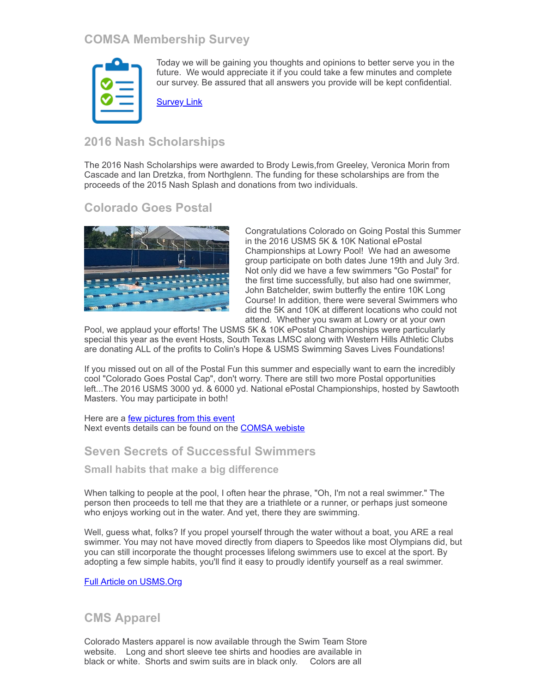# **COMSA Membership Survey**



Today we will be gaining you thoughts and opinions to better serve you in the future. We would appreciate it if you could take a few minutes and complete our survey. Be assured that all answers you provide will be kept confidential.

[Survey](https://survey.constantcontact.com/survey/a07ed55wpkeisgspey5/start?TEST_ONLY_RESPONSES_NOT_SAVED=t) Link

## **2016 Nash Scholarships**

The 2016 Nash Scholarships were awarded to Brody Lewis,from Greeley, Veronica Morin from Cascade and Ian Dretzka, from Northglenn. The funding for these scholarships are from the proceeds of the 2015 Nash Splash and donations from two individuals.

### **Colorado Goes Postal**



Congratulations Colorado on Going Postal this Summer in the 2016 USMS 5K & 10K National ePostal Championships at Lowry Pool! We had an awesome group participate on both dates June 19th and July 3rd. Not only did we have a few swimmers "Go Postal" for the first time successfully, but also had one swimmer, John Batchelder, swim butterfly the entire 10K Long Course! In addition, there were several Swimmers who did the 5K and 10K at different locations who could not attend. Whether you swam at Lowry or at your own

Pool, we applaud your efforts! The USMS 5K & 10K ePostal Championships were particularly special this year as the event Hosts, South Texas LMSC along with Western Hills Athletic Clubs are donating ALL of the profits to Colin's Hope & USMS Swimming Saves Lives Foundations!

If you missed out on all of the Postal Fun this summer and especially want to earn the incredibly cool "Colorado Goes Postal Cap", don't worry. There are still two more Postal opportunities left...The 2016 USMS 3000 yd. & 6000 yd. National ePostal Championships, hosted by Sawtooth Masters. You may participate in both!

Here are a **few [pictures](http://www.comsa.org/events/2016/2016NationalePostal_Gallery.html) from this event** Next events details can be found on the **[COMSA](http://www.comsa.org/) webiste** 

### **Seven Secrets of Successful Swimmers**

**Small habits that make a big difference**

When talking to people at the pool, I often hear the phrase, "Oh, I'm not a real swimmer." The person then proceeds to tell me that they are a triathlete or a runner, or perhaps just someone who enjoys working out in the water. And yet, there they are swimming.

Well, guess what, folks? If you propel yourself through the water without a boat, you ARE a real swimmer. You may not have moved directly from diapers to Speedos like most Olympians did, but you can still incorporate the thought processes lifelong swimmers use to excel at the sport. By adopting a few simple habits, you'll find it easy to proudly identify yourself as a real swimmer.

Full Article on [USMS.Org](http://www.usms.org/articles/articledisplay.php?aid=3269)

### **CMS Apparel**

Colorado Masters apparel is now available through the Swim Team Store website. Long and short sleeve tee shirts and hoodies are available in black or white. Shorts and swim suits are in black only. Colors are all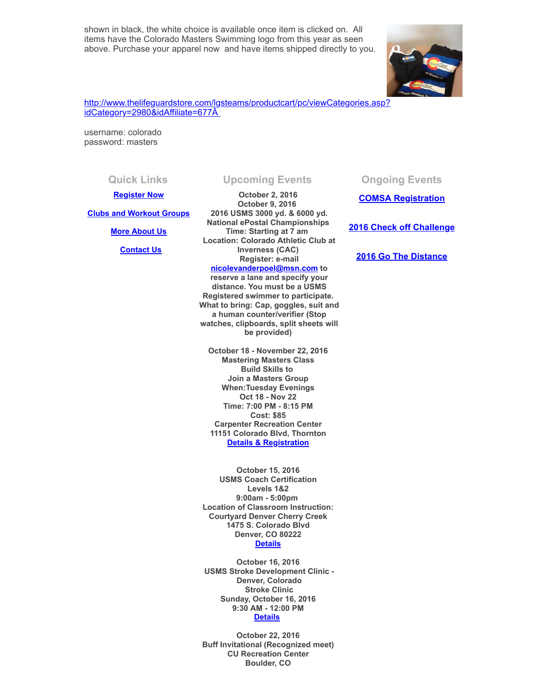shown in black, the white choice is available once item is clicked on. All items have the Colorado Masters Swimming logo from this year as seen above. Purchase your apparel now and have items shipped directly to you.



[http://www.thelifeguardstore.com/lgsteams/productcart/pc/viewCategories.asp?](http://www.thelifeguardstore.com/lgsteams/productcart/pc/viewCategories.asp?idCategory=2980&idAffiliate=677) idCategory=2980&idAffiliate=677Â

username: colorado password: masters

### **[Register Now](http://comsa.org/joining/index.html)**

**[Clubs and Workout Groups](http://comsa.org/clubs/index.html)**

**[More About Us](http://comsa.org/)**

 **[Contact Us](mailto:swimkdavis@gmail.com)**

**October 2, 2016 October 9, 2016 2016 USMS 3000 yd. & 6000 yd. National ePostal Championships Time: Starting at 7 am Location: Colorado Athletic Club at Inverness (CAC) Register: e-mail [nicolevanderpoel@msn.com](mailto:nicolevanderpoel@msn.com) to**

**reserve a lane and specify your distance. You must be a USMS Registered swimmer to participate. What to bring: Cap, goggles, suit and a human counter/verifier (Stop watches, clipboards, split sheets will be provided)** 

**October 18 - November 22, 2016 Mastering Masters Class Build Skills to Join a Masters Group When:Tuesday Evenings Oct 18 - Nov 22 Time: 7:00 PM - 8:15 PM Cost: \$85 Carpenter Recreation Center 11151 Colorado Blvd, Thornton [Details & Registration](https://www.clubassistant.com/club/clinics.cfm?c=1279)**

**October 15, 2016 USMS Coach Certification Levels 1&2 9:00am - 5:00pm Location of Classroom Instruction: Courtyard Denver Cherry Creek 1475 S. Colorado Blvd Denver, CO 80222 [Details](https://www.clubassistant.com/club/clinics/reserve.cfm?c=1758&cid=70344)**

**October 16, 2016 USMS Stroke Development Clinic - Denver, Colorado Stroke Clinic Sunday, October 16, 2016 9:30 AM - 12:00 PM [Details](https://www.clubassistant.com/club/clinics/reserve.cfm?c=1758&cid=70760)** 

**October 22, 2016 Buff Invitational (Recognized meet) CU Recreation Center Boulder, CO** 

**Quick Links Upcoming Events Ongoing Events**

**COMSA [Registration](http://www.comsa.org/joining/index.html)**

### **2016 Check off [Challenge](http://www.usms.org/fitness/content/checkoff)**

**2016 Go The [Distance](http://www.usms.org/fitness/content/gothedistance)**